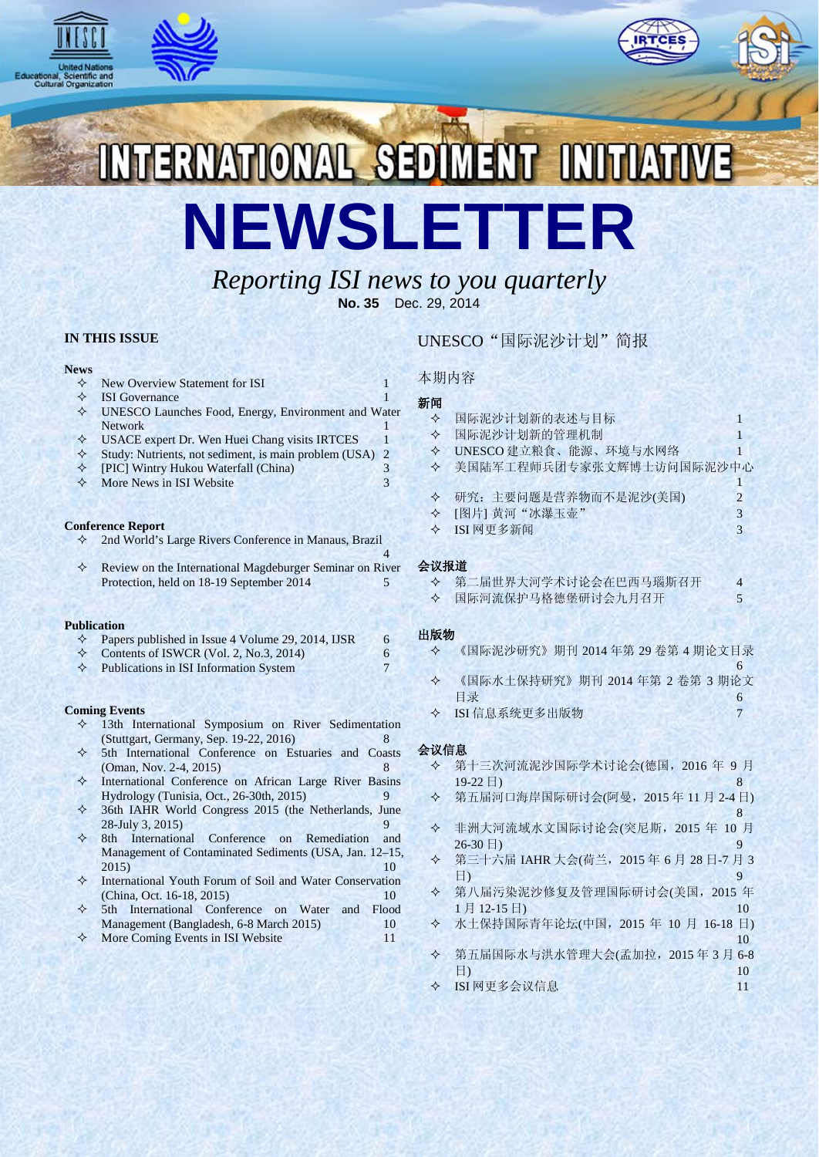





NTERNATIONAL SEDIMENT INITIATIV **NEWSLETTER**

# *Reporting ISI news to you quarterly* **No. 35** Dec. 29, 2014

**IN THIS ISSUE**

#### **News**

- $\Diamond$  New Overview Statement for ISI 1
- $\Diamond$  ISI Governance 1
- UNESCO Launches Food, Energy, Environment and Water Network 1
- $\Diamond$  USACE expert Dr. Wen Huei Chang visits IRTCES 1
- $\diamond$  Study: Nutrients, not sediment, is main problem (USA) 2<br>  $\diamond$  FPICU Wintry Hukou Waterfall (China)
- [PIC] Wintry Hukou Waterfall (China) 3
- More News in ISI Website 3

#### **Conference Report**

2nd World's Large Rivers Conference in Manaus, Brazil

4  $\Diamond$  Review on the International Magdeburger Seminar on River Protection, held on 18-19 September 2014 5

#### **Publication**

| Papers published in Issue 4 Volume 29, 2014, IJSR |  |
|---------------------------------------------------|--|
| Contents of ISWCR (Vol. 2, No.3, 2014)            |  |

 $\Diamond$  Publications in ISI Information System 7

#### **Coming Events**

- 13th International Symposium on River Sedimentation (Stuttgart, Germany, Sep. 19-22, 2016) 8
- 5th International Conference on Estuaries and Coasts (Oman, Nov. 2-4, 2015) 8
- $\diamond$  International Conference on African Large River Basins<br>Hydrology (Tunisia, Oct., 26-30th, 2015) Hydrology (Tunisia, Oct., 26-30th, 2015) 9
- 36th IAHR World Congress 2015 (the Netherlands, June 28-July 3, 2015) 9
- 8th International Conference on Remediation and Management of Contaminated Sediments (USA, Jan. 12–15, 2015) 10
- International Youth Forum of Soil and Water Conservation (China, Oct. 16-18, 2015) 10<br>5th International Conference on Water and Flood
- $\diamond$  5th International Conference on Water and Management (Bangladesh, 6-8 March 2015) 10
- $\Diamond$  More Coming Events in ISI Website 11

### UNESCO"国际泥沙计划"简报

### 本期内容

### 新闻

| ✧    | 国际泥沙计划新的表述与目标                 |   |
|------|-------------------------------|---|
| ✧    | 国际泥沙计划新的管理机制                  |   |
| ✧    | UNESCO 建立粮食、能源、环境与水网络         |   |
| ✧    | 美国陆军工程师兵团专家张文辉博士访问国际泥沙中心      |   |
|      |                               |   |
| ✧    | 研究: 主要问题是营养物而不是泥沙(美国)         | 2 |
| ✧    | [图片] 黄河"冰瀑玉壶"                 | 3 |
| ✧    | ISI 网更多新闻                     | 3 |
|      |                               |   |
| 会议报道 |                               |   |
| ✧    | 第二届世界大河学术讨论会在巴西马瑙斯召开          | 4 |
| ✧    | 国际河流保护马格德堡研讨会九月召开             | 5 |
|      |                               |   |
| 出版物  |                               |   |
| ✧    | 《国际泥沙研究》期刊 2014年第 29卷第 4期论文目录 |   |
|      |                               | 6 |
|      |                               |   |

- 《国际水土保持研究》期刊 2014 年第 2 卷第 3 期论文 目录 6
- ISI 信息系统更多出版物 7

#### 会议信息

- 第十三次河流泥沙国际学术讨论会(德国,2016 年 9 月  $19-22 \exists$ ) 8
- 第五届河口海岸国际研讨会(阿曼,2015 年 11 月 2-4 日) 8
- 非洲大河流域水文国际讨论会(突尼斯,2015 年 10 月  $26-30 \Box$ ) 9
- 第三十六届 IAHR 大会(荷兰,2015 年 6 月 28 日-7 月 3 日) 9
- 第八届污染泥沙修复及管理国际研讨会(美国,2015 年 1 月 12-15 日) 10
- 水土保持国际青年论坛(中国,2015 年 10 月 16-18 日) 10
- 第五届国际水与洪水管理大会(孟加拉,2015 年 3 月 6-8 日) 10
- ◆ ISI 网更多会议信息 11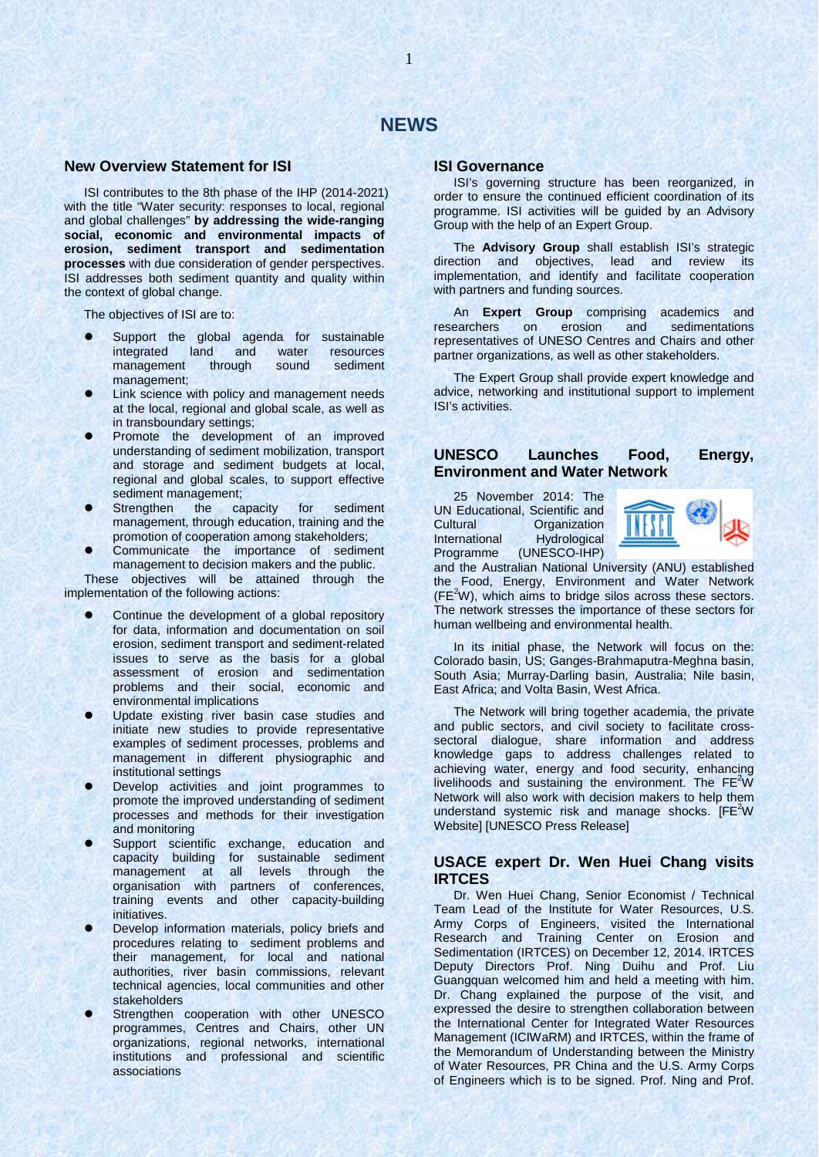#### **New Overview Statement for ISI**

ISI contributes to the 8th phase of the IHP (2014-2021) with the title "Water security: responses to local, regional and global challenges" **by addressing the wide-ranging social, economic and environmental impacts of erosion, sediment transport and sedimentation processes** with due consideration of gender perspectives. ISI addresses both sediment quantity and quality within the context of global change.

The objectives of ISI are to:

- Support the global agenda for sustainable<br>integrated land and water resources integrated land and water resources<br>management through sound sediment management through sound management;
- Link science with policy and management needs at the local, regional and global scale, as well as in transboundary settings;
- Promote the development of an improved understanding of sediment mobilization, transport and storage and sediment budgets at local, regional and global scales, to support effective sediment management;
- Strengthen the capacity for sediment management, through education, training and the promotion of cooperation among stakeholders;
- Communicate the importance of sediment management to decision makers and the public.

These objectives will be attained through the implementation of the following actions:

- Continue the development of a global repository for data, information and documentation on soil erosion, sediment transport and sediment-related issues to serve as the basis for a global assessment of erosion and sedimentation problems and their social, economic and environmental implications
- Update existing river basin case studies and initiate new studies to provide representative examples of sediment processes, problems and management in different physiographic and institutional settings
- Develop activities and joint programmes to promote the improved understanding of sediment processes and methods for their investigation and monitoring
- Support scientific exchange, education and capacity building for sustainable sediment<br>management at all levels through the management at all levels through the organisation with partners of conferences, training events and other capacity-building initiatives.
- Develop information materials, policy briefs and procedures relating to sediment problems and their management, for local and national authorities, river basin commissions, relevant technical agencies, local communities and other stakeholders
- Strengthen cooperation with other UNESCO programmes, Centres and Chairs, other UN organizations, regional networks, international institutions and professional and scientific associations

#### **ISI Governance**

ISI's governing structure has been reorganized, in order to ensure the continued efficient coordination of its programme. ISI activities will be guided by an Advisory Group with the help of an Expert Group.

The **Advisory Group** shall establish ISI's strategic direction and objectives, lead and review its implementation, and identify and facilitate cooperation with partners and funding sources.

An **Expert Group** comprising academics and researchers on erosion and sedimentations representatives of UNESO Centres and Chairs and other partner organizations, as well as other stakeholders.

The Expert Group shall provide expert knowledge and advice, networking and institutional support to implement ISI's activities.

### **UNESCO Launches Food, Energy, Environment and Water Network**

25 November 2014: The UN Educational, Scientific and<br>Cultural Cuntural Cuntural Organization International Hydrological<br>Programme (UNESCO-IHP) (UNESCO-IHP)



and the Australian National University (ANU) established the Food, Energy, Environment and Water Network  $(FE<sup>2</sup>W)$ , which aims to bridge silos across these sectors. The network stresses the importance of these sectors for human wellbeing and environmental health.

In its initial phase, the Network will focus on the: Colorado basin, US; Ganges-Brahmaputra-Meghna basin, South Asia; Murray-Darling basin, Australia; Nile basin, East Africa; and Volta Basin, West Africa.

The Network will bring together academia, the private and public sectors, and civil society to facilitate crosssectoral dialogue, share information and address knowledge gaps to address challenges related to achieving water, energy and food security, enhancing livelihoods and sustaining the environment. The  $FE^2W$ Network will also work with decision makers to help them understand systemic risk and manage shocks.  $[FE^2W]$ Website] [UNESCO Press Release]

### **USACE expert Dr. Wen Huei Chang visits IRTCES**

Dr. Wen Huei Chang, Senior Economist / Technical Team Lead of the Institute for Water Resources, U.S. Army Corps of Engineers, visited the International Research and Training Center on Erosion and Sedimentation (IRTCES) on December 12, 2014. IRTCES Deputy Directors Prof. Ning Duihu and Prof. Liu Guangquan welcomed him and held a meeting with him. Dr. Chang explained the purpose of the visit, and expressed the desire to strengthen collaboration between the International Center for Integrated Water Resources Management (ICIWaRM) and IRTCES, within the frame of the Memorandum of Understanding between the Ministry of Water Resources, PR China and the U.S. Army Corps of Engineers which is to be signed. Prof. Ning and Prof.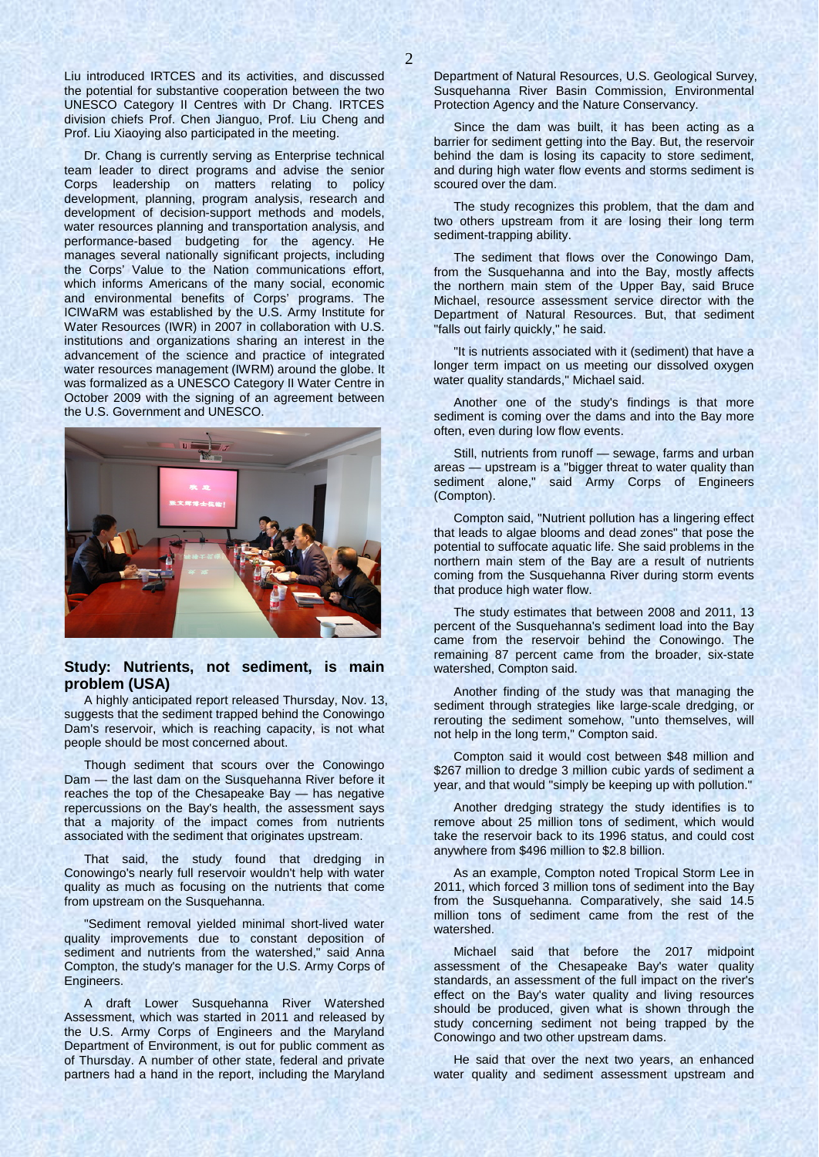Liu introduced IRTCES and its activities, and discussed the potential for substantive cooperation between the two UNESCO Category II Centres with Dr Chang. IRTCES division chiefs Prof. Chen Jianguo, Prof. Liu Cheng and Prof. Liu Xiaoying also participated in the meeting.

Dr. Chang is currently serving as Enterprise technical team leader to direct programs and advise the senior Corps leadership on matters relating to policy development, planning, program analysis, research and development of decision-support methods and models, water resources planning and transportation analysis, and performance-based budgeting for the agency. He manages several nationally significant projects, including the Corps' Value to the Nation communications effort, which informs Americans of the many social, economic and environmental benefits of Corps' programs. The ICIWaRM was established by the U.S. Army Institute for Water Resources (IWR) in 2007 in collaboration with U.S. institutions and organizations sharing an interest in the advancement of the science and practice of integrated water resources management (IWRM) around the globe. It was formalized as a UNESCO Category II Water Centre in October 2009 with the signing of an agreement between the U.S. Government and UNESCO.



### **Study: Nutrients, not sediment, is main problem (USA)**

A highly anticipated report released Thursday, Nov. 13, suggests that the sediment trapped behind the Conowingo Dam's reservoir, which is reaching capacity, is not what people should be most concerned about.

Though sediment that scours over the Conowingo Dam — the last dam on the Susquehanna River before it reaches the top of the Chesapeake Bay — has negative repercussions on the Bay's health, the assessment says that a majority of the impact comes from nutrients associated with the sediment that originates upstream.

That said, the study found that dredging in Conowingo's nearly full reservoir wouldn't help with water quality as much as focusing on the nutrients that come from upstream on the Susquehanna.

"Sediment removal yielded minimal short-lived water quality improvements due to constant deposition of sediment and nutrients from the watershed," said Anna Compton, the study's manager for the U.S. Army Corps of Engineers.

A draft Lower Susquehanna River Watershed Assessment, which was started in 2011 and released by the U.S. Army Corps of Engineers and the Maryland Department of Environment, is out for public comment as of Thursday. A number of other state, federal and private partners had a hand in the report, including the Maryland Department of Natural Resources, U.S. Geological Survey, Susquehanna River Basin Commission, Environmental Protection Agency and the Nature Conservancy.

Since the dam was built, it has been acting as a barrier for sediment getting into the Bay. But, the reservoir behind the dam is losing its capacity to store sediment, and during high water flow events and storms sediment is scoured over the dam.

The study recognizes this problem, that the dam and two others upstream from it are losing their long term sediment-trapping ability.

The sediment that flows over the Conowingo Dam, from the Susquehanna and into the Bay, mostly affects the northern main stem of the Upper Bay, said Bruce Michael, resource assessment service director with the Department of Natural Resources. But, that sediment "falls out fairly quickly," he said.

"It is nutrients associated with it (sediment) that have a longer term impact on us meeting our dissolved oxygen water quality standards," Michael said.

Another one of the study's findings is that more sediment is coming over the dams and into the Bay more often, even during low flow events.

Still, nutrients from runoff — sewage, farms and urban areas — upstream is a "bigger threat to water quality than sediment alone," said Army Corps of Engineers (Compton).

Compton said, "Nutrient pollution has a lingering effect that leads to algae blooms and dead zones" that pose the potential to suffocate aquatic life. She said problems in the northern main stem of the Bay are a result of nutrients coming from the Susquehanna River during storm events that produce high water flow.

The study estimates that between 2008 and 2011, 13 percent of the Susquehanna's sediment load into the Bay came from the reservoir behind the Conowingo. The remaining 87 percent came from the broader, six-state watershed, Compton said.

Another finding of the study was that managing the sediment through strategies like large-scale dredging, or rerouting the sediment somehow, "unto themselves, will not help in the long term," Compton said.

Compton said it would cost between \$48 million and \$267 million to dredge 3 million cubic yards of sediment a year, and that would "simply be keeping up with pollution."

Another dredging strategy the study identifies is to remove about 25 million tons of sediment, which would take the reservoir back to its 1996 status, and could cost anywhere from \$496 million to \$2.8 billion.

As an example, Compton noted Tropical Storm Lee in 2011, which forced 3 million tons of sediment into the Bay from the Susquehanna. Comparatively, she said 14.5 million tons of sediment came from the rest of the watershed.

Michael said that before the 2017 midpoint assessment of the Chesapeake Bay's water quality standards, an assessment of the full impact on the river's effect on the Bay's water quality and living resources should be produced, given what is shown through the study concerning sediment not being trapped by the Conowingo and two other upstream dams.

He said that over the next two years, an enhanced water quality and sediment assessment upstream and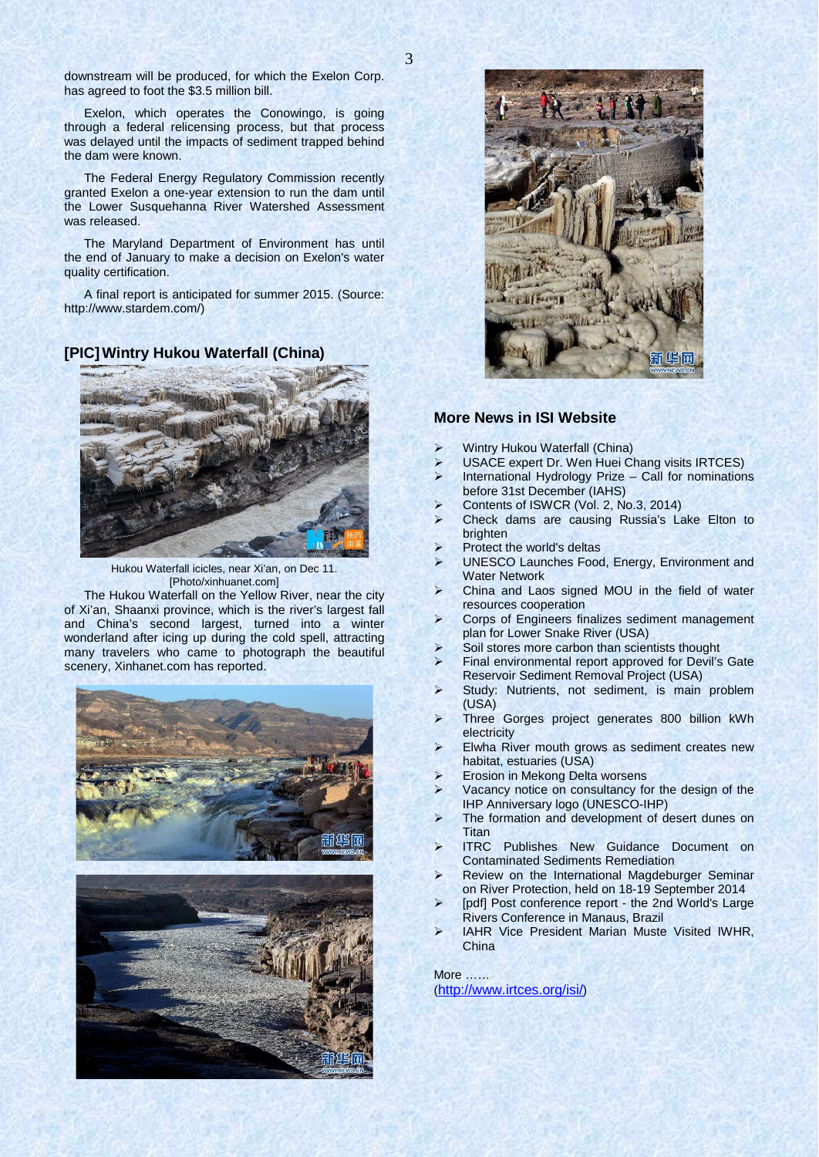downstream will be produced, for which the Exelon Corp. has agreed to foot the \$3.5 million bill.

Exelon, which operates the Conowingo, is going through a federal relicensing process, but that process was delayed until the impacts of sediment trapped behind the dam were known.

The Federal Energy Regulatory Commission recently granted Exelon a one-year extension to run the dam until the Lower Susquehanna River Watershed Assessment was released.

The Maryland Department of Environment has until the end of January to make a decision on Exelon's water quality certification.

A final report is anticipated for summer 2015. (Source: http://www.stardem.com/)

**[PIC]Wintry Hukou Waterfall (China)**



Hukou Waterfall icicles, near Xi'an, on Dec 11. [Photo/xinhuanet.com]

The Hukou Waterfall on the Yellow River, near the city of Xi'an, Shaanxi province, which is the river's largest fall and China's second largest, turned into a winter wonderland after icing up during the cold spell, attracting many travelers who came to photograph the beautiful scenery, Xinhanet.com has reported.







#### **More News in ISI Website**

- Wintry Hukou Waterfall (China)
- USACE expert Dr. Wen Huei Chang visits IRTCES)
- International Hydrology Prize Call for nominations before 31st December (IAHS)
- Contents of ISWCR (Vol. 2, No.3, 2014)
- Check dams are causing Russia's Lake Elton to brighten
- Protect the world's deltas
- UNESCO Launches Food, Energy, Environment and Water Network
- China and Laos signed MOU in the field of water resources cooperation
- Corps of Engineers finalizes sediment management plan for Lower Snake River (USA)
- Soil stores more carbon than scientists thought
- Final environmental report approved for Devil's Gate Reservoir Sediment Removal Project (USA)
- Study: Nutrients, not sediment, is main problem (USA)
- Three Gorges project generates 800 billion kWh electricity
- Elwha River mouth grows as sediment creates new habitat, estuaries (USA)
- Erosion in Mekong Delta worsens
- Vacancy notice on consultancy for the design of the IHP Anniversary logo (UNESCO-IHP)
- The formation and development of desert dunes on Titan<br>ITRC
- Publishes New Guidance Document on Contaminated Sediments Remediation
- Review on the International Magdeburger Seminar on River Protection, held on 18-19 September 2014
- [pdf] Post conference report the 2nd World's Large Rivers Conference in Manaus, Brazil
- IAHR Vice President Marian Muste Visited IWHR, China

More …… [\(http://www.irtces.org/isi/\)](http://www.irtces.org/isi/)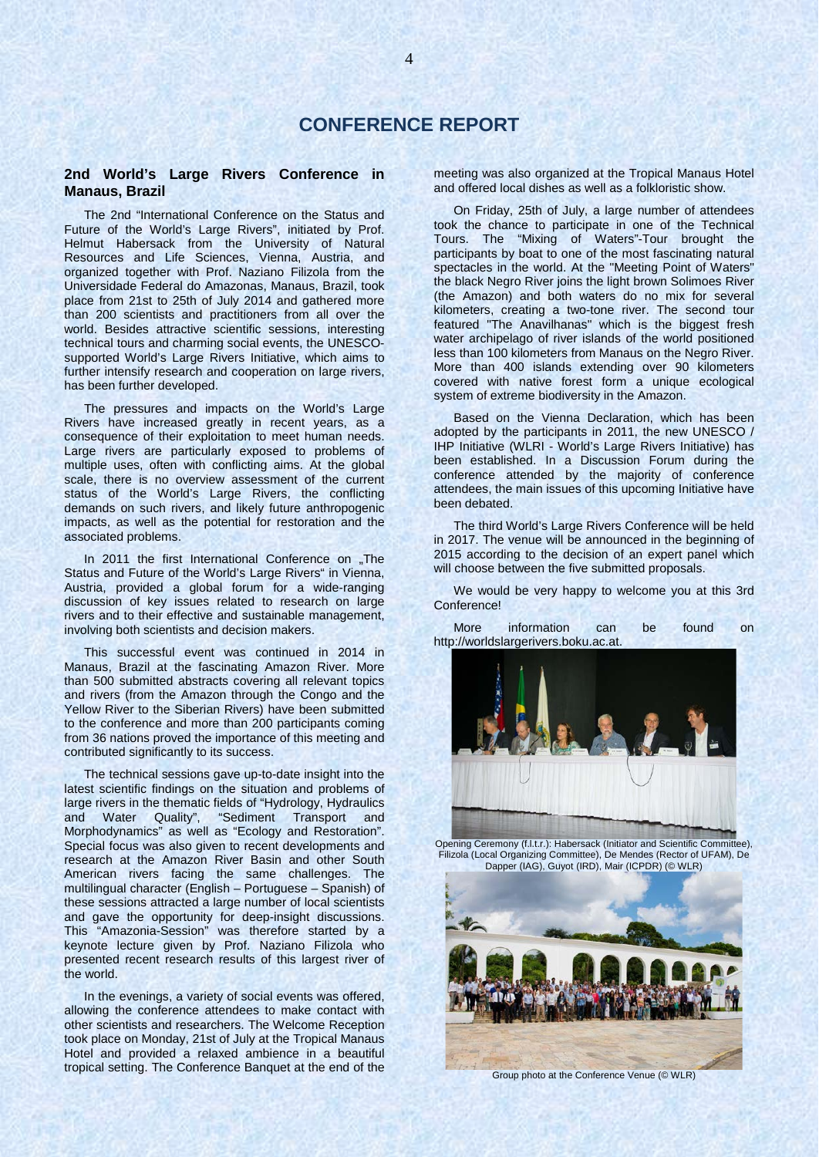### **2nd World's Large Rivers Conference in Manaus, Brazil**

The 2nd "International Conference on the Status and Future of the World's Large Rivers", initiated by Prof. Helmut Habersack from the University of Natural Resources and Life Sciences, Vienna, Austria, and organized together with Prof. Naziano Filizola from the Universidade Federal do Amazonas, Manaus, Brazil, took place from 21st to 25th of July 2014 and gathered more than 200 scientists and practitioners from all over the world. Besides attractive scientific sessions, interesting technical tours and charming social events, the UNESCOsupported World's Large Rivers Initiative, which aims to further intensify research and cooperation on large rivers, has been further developed.

The pressures and impacts on the World's Large Rivers have increased greatly in recent years, as a consequence of their exploitation to meet human needs. Large rivers are particularly exposed to problems of multiple uses, often with conflicting aims. At the global scale, there is no overview assessment of the current status of the World's Large Rivers, the conflicting demands on such rivers, and likely future anthropogenic impacts, as well as the potential for restoration and the associated problems.

In 2011 the first International Conference on "The Status and Future of the World's Large Rivers" in Vienna, Austria, provided a global forum for a wide-ranging discussion of key issues related to research on large rivers and to their effective and sustainable management, involving both scientists and decision makers.

This successful event was continued in 2014 in Manaus, Brazil at the fascinating Amazon River. More than 500 submitted abstracts covering all relevant topics and rivers (from the Amazon through the Congo and the Yellow River to the Siberian Rivers) have been submitted to the conference and more than 200 participants coming from 36 nations proved the importance of this meeting and contributed significantly to its success.

The technical sessions gave up-to-date insight into the latest scientific findings on the situation and problems of large rivers in the thematic fields of "Hydrology, Hydraulics and Water Quality", "Sediment Transport and Morphodynamics" as well as "Ecology and Restoration". Special focus was also given to recent developments and research at the Amazon River Basin and other South American rivers facing the same challenges. The multilingual character (English – Portuguese – Spanish) of these sessions attracted a large number of local scientists and gave the opportunity for deep-insight discussions. This "Amazonia-Session" was therefore started by a keynote lecture given by Prof. Naziano Filizola who presented recent research results of this largest river of the world.

In the evenings, a variety of social events was offered, allowing the conference attendees to make contact with other scientists and researchers. The Welcome Reception took place on Monday, 21st of July at the Tropical Manaus Hotel and provided a relaxed ambience in a beautiful tropical setting. The Conference Banquet at the end of the

meeting was also organized at the Tropical Manaus Hotel and offered local dishes as well as a folkloristic show.

On Friday, 25th of July, a large number of attendees took the chance to participate in one of the Technical Tours. The "Mixing of Waters"-Tour brought the participants by boat to one of the most fascinating natural spectacles in the world. At the "Meeting Point of Waters" the black Negro River joins the light brown Solimoes River (the Amazon) and both waters do no mix for several kilometers, creating a two-tone river. The second tour featured "The Anavilhanas" which is the biggest fresh water archipelago of river islands of the world positioned less than 100 kilometers from Manaus on the Negro River. More than 400 islands extending over 90 kilometers covered with native forest form a unique ecological system of extreme biodiversity in the Amazon.

Based on the Vienna Declaration, which has been adopted by the participants in 2011, the new UNESCO / IHP Initiative (WLRI - World's Large Rivers Initiative) has been established. In a Discussion Forum during the conference attended by the majority of conference attendees, the main issues of this upcoming Initiative have been debated.

The third World's Large Rivers Conference will be held in 2017. The venue will be announced in the beginning of 2015 according to the decision of an expert panel which will choose between the five submitted proposals.

We would be very happy to welcome you at this 3rd Conference!

More information can be found on http://worldslargerivers.boku.ac.at.



Opening Ceremony (f.l.t.r.): Habersack (Initiator and Scientific Committee), Filizola (Local Organizing Committee), De Mendes (Rector of UFAM), De Dapper (IAG), Guyot (IRD), Mair (ICPDR) (© WLR)

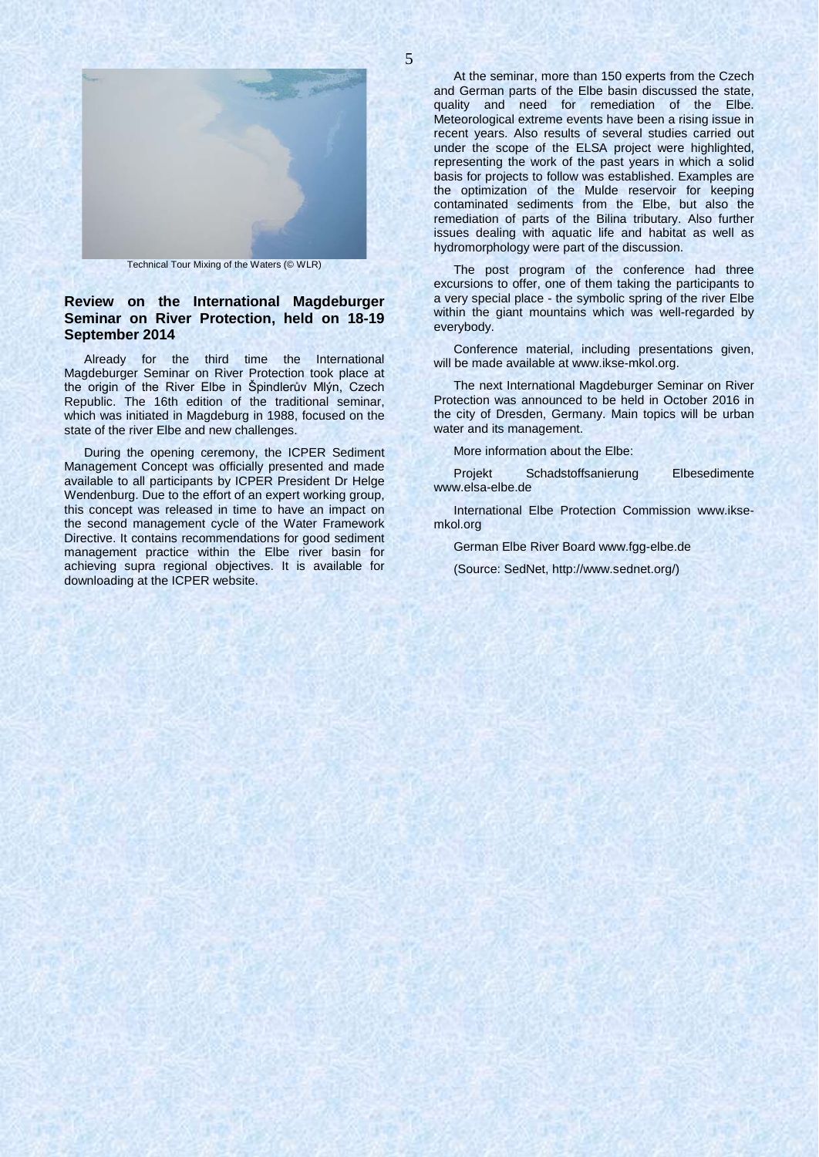

Technical Tour Mixing of the Waters (© WLR)

### **Review on the International Magdeburger Seminar on River Protection, held on 18-19 September 2014**

Already for the third time the International Magdeburger Seminar on River Protection took place at the origin of the River Elbe in Špindlerův Mlýn, Czech Republic. The 16th edition of the traditional seminar, which was initiated in Magdeburg in 1988, focused on the state of the river Elbe and new challenges.

During the opening ceremony, the ICPER Sediment Management Concept was officially presented and made available to all participants by ICPER President Dr Helge Wendenburg. Due to the effort of an expert working group, this concept was released in time to have an impact on the second management cycle of the Water Framework Directive. It contains recommendations for good sediment management practice within the Elbe river basin for achieving supra regional objectives. It is available for downloading at the ICPER website.

At the seminar, more than 150 experts from the Czech and German parts of the Elbe basin discussed the state, quality and need for remediation of the Elbe. Meteorological extreme events have been a rising issue in recent years. Also results of several studies carried out under the scope of the ELSA project were highlighted, representing the work of the past years in which a solid basis for projects to follow was established. Examples are the optimization of the Mulde reservoir for keeping contaminated sediments from the Elbe, but also the remediation of parts of the Bilina tributary. Also further issues dealing with aquatic life and habitat as well as hydromorphology were part of the discussion.

The post program of the conference had three excursions to offer, one of them taking the participants to a very special place - the symbolic spring of the river Elbe within the giant mountains which was well-regarded by everybody.

Conference material, including presentations given, will be made available at www.ikse-mkol.org.

The next International Magdeburger Seminar on River Protection was announced to be held in October 2016 in the city of Dresden, Germany. Main topics will be urban water and its management.

More information about the Elbe:

Projekt Schadstoffsanierung Elbesedimente www.elsa-elbe.de

International Elbe Protection Commission www.iksemkol.org

German Elbe River Board www.fgg-elbe.de

(Source: SedNet, http://www.sednet.org/)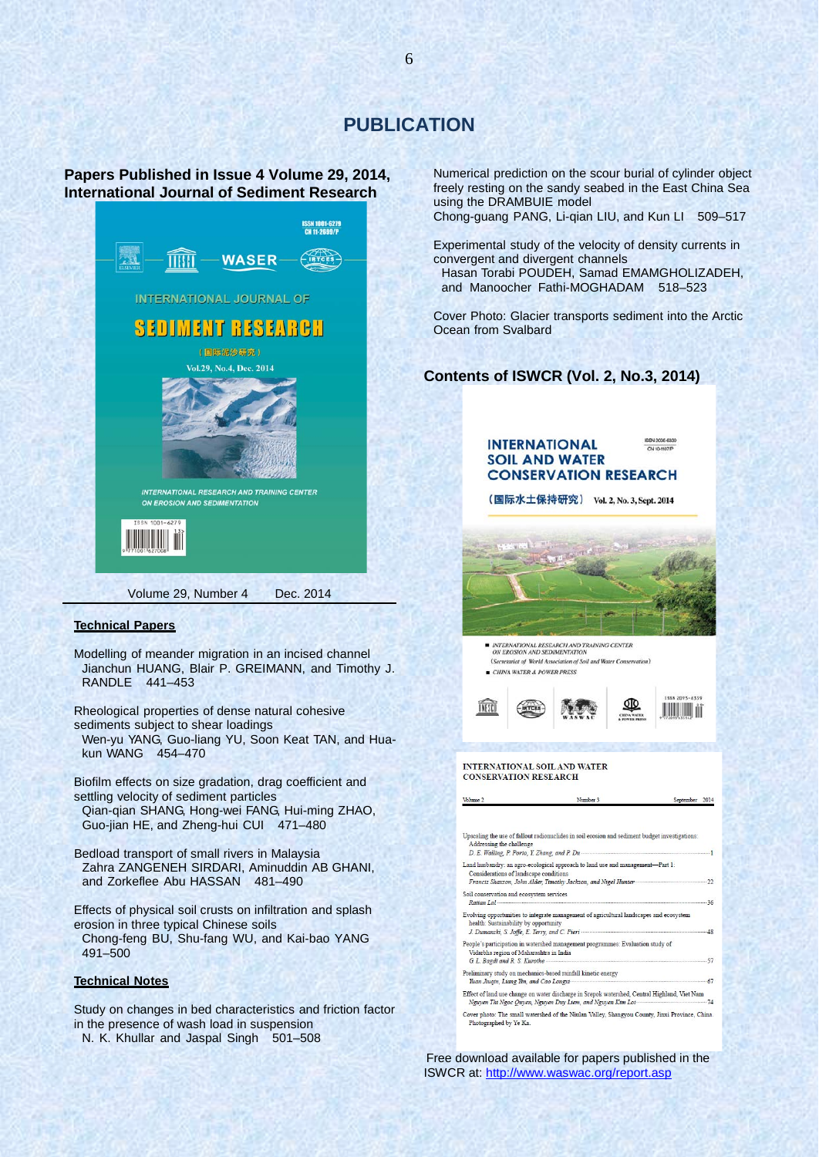# **PUBLICATION**

### **Papers Published in Issue 4 Volume 29, 2014, International Journal of Sediment Research**



#### **Technical Papers**

Modelling of meander migration in an incised channel Jianchun HUANG, Blair P. GREIMANN, and Timothy J. RANDLE 441–453

Rheological properties of dense natural cohesive sediments subject to shear loadings

Wen-yu YANG, Guo-liang YU, Soon Keat TAN, and Huakun WANG 454–470

Biofilm effects on size gradation, drag coefficient and settling velocity of sediment particles Qian-qian SHANG, Hong-wei FANG, Hui-ming ZHAO,

Guo-jian HE, and Zheng-hui CUI 471–480

Bedload transport of small rivers in Malaysia Zahra ZANGENEH SIRDARI, Aminuddin AB GHANI, and Zorkeflee Abu HASSAN 481–490

Effects of physical soil crusts on infiltration and splash erosion in three typical Chinese soils

Chong-feng BU, Shu-fang WU, and Kai-bao YANG 491–500

#### **Technical Notes**

Study on changes in bed characteristics and friction factor in the presence of wash load in suspension

N. K. Khullar and Jaspal Singh 501–508

Numerical prediction on the scour burial of cylinder object freely resting on the sandy seabed in the East China Sea using the DRAMBUIE model Chong-guang PANG, Li-qian LIU, and Kun LI 509–517

Experimental study of the velocity of density currents in convergent and divergent channels Hasan Torabi POUDEH, Samad EMAMGHOLIZADEH, and Manoocher Fathi-MOGHADAM 518–523

Cover Photo: Glacier transports sediment into the Arctic Ocean from Svalbard

### **Contents of ISWCR (Vol. 2, No.3, 2014)**



Free download available for papers published in the ISWCR at:<http://www.waswac.org/report.asp>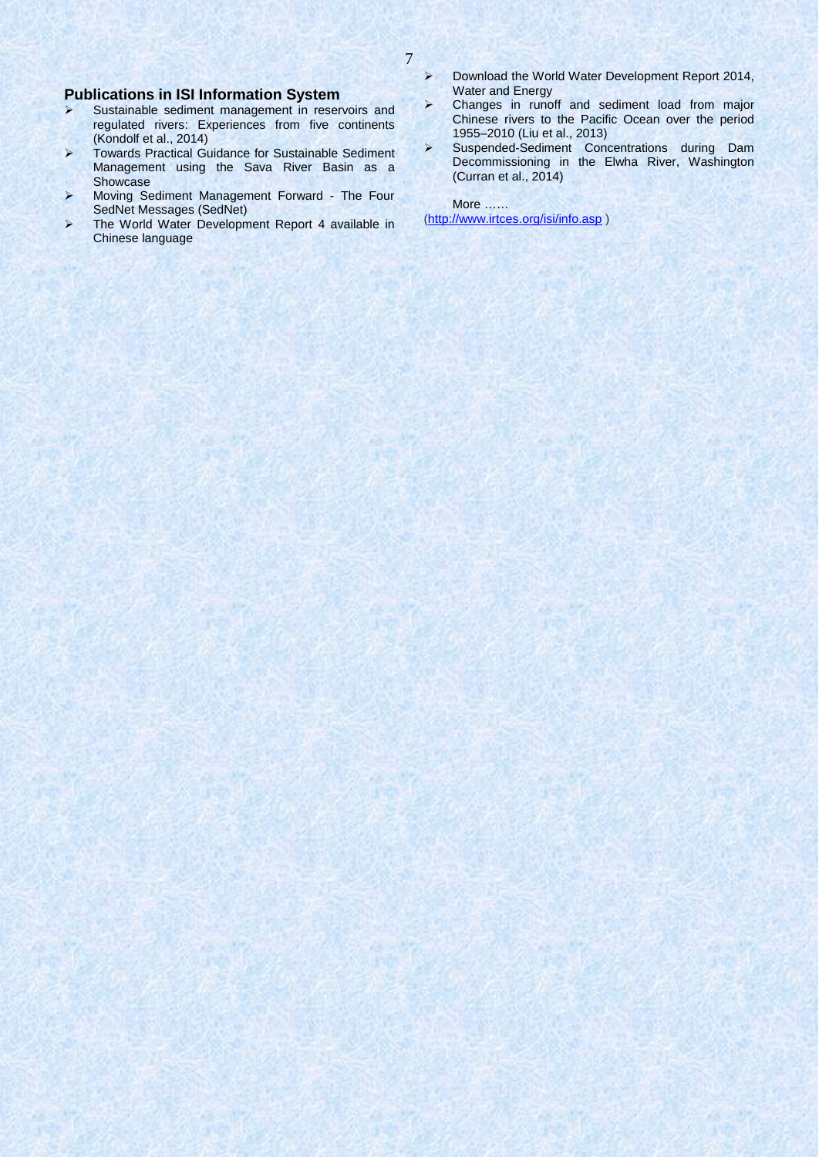# **Publications in ISI Information System**<br>
> Sustainable sediment management in reser

- Sustainable sediment management in reservoirs and regulated rivers: Experiences from five continents (Kondolf et al., 2014)
- Towards Practical Guidance for Sustainable Sediment Management using the Sava River Basin as a Showcase
- > Moving Sediment Management Forward The Four SedNet Messages (SedNet)
- The World Water Development Report 4 available in Chinese language
- > Download the World Water Development Report 2014, Water and Energy
- Changes in runoff and sediment load from major Chinese rivers to the Pacific Ocean over the period 1955–2010 (Liu et al., 2013)
- Suspended-Sediment Concentrations during Dam Decommissioning in the Elwha River, Washington (Curran et al., 2014)

More …… [\(http://www.irtces.org/isi/info.asp](http://www.irtces.org/isi/info.asp) )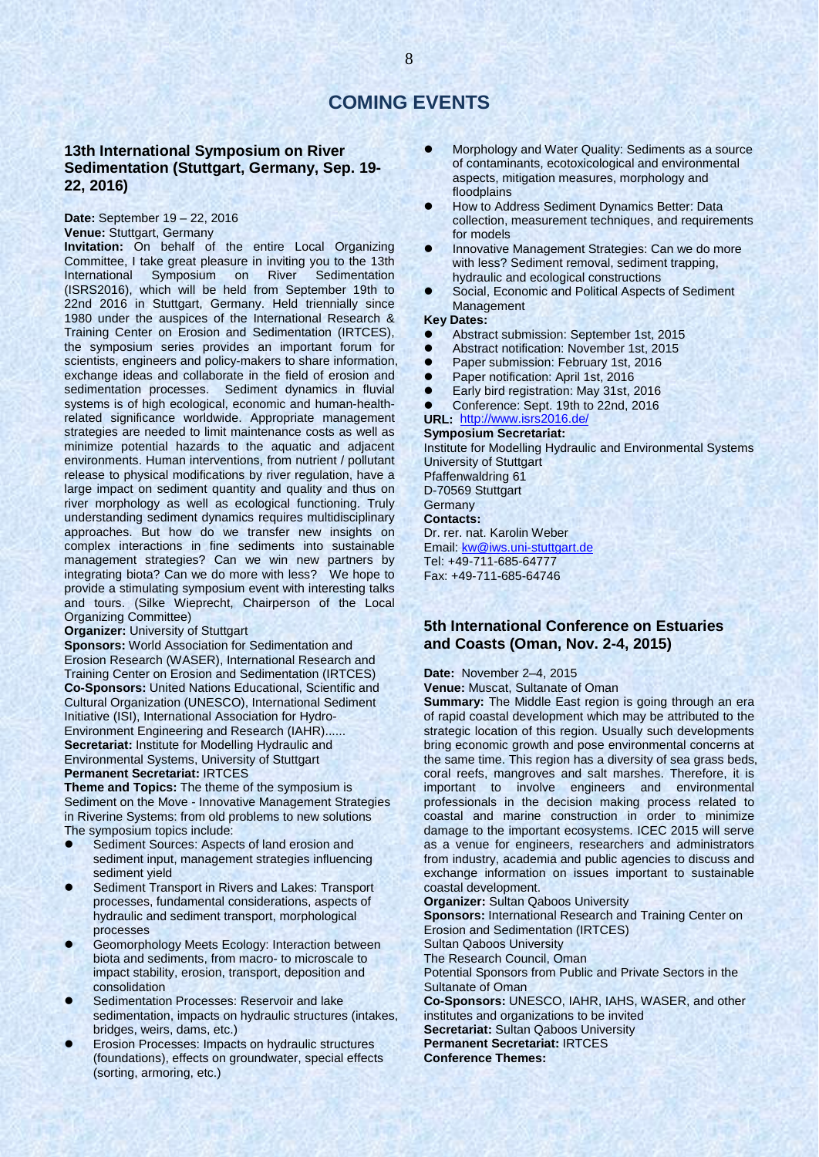## **COMING EVENTS**

### **13th International Symposium on River Sedimentation (Stuttgart, Germany, Sep. 19- 22, 2016)**

**Date:** September 19 – 22, 2016 **Venue:** Stuttgart, Germany

**Invitation:** On behalf of the entire Local Organizing Committee, I take great pleasure in inviting you to the 13th International Symposium on River (ISRS2016), which will be held from September 19th to 22nd 2016 in Stuttgart, Germany. Held triennially since 1980 under the auspices of the International Research & Training Center on Erosion and Sedimentation (IRTCES), the symposium series provides an important forum for scientists, engineers and policy-makers to share information, exchange ideas and collaborate in the field of erosion and sedimentation processes. Sediment dynamics in fluvial systems is of high ecological, economic and human-healthrelated significance worldwide. Appropriate management strategies are needed to limit maintenance costs as well as minimize potential hazards to the aquatic and adjacent environments. Human interventions, from nutrient / pollutant release to physical modifications by river regulation, have a large impact on sediment quantity and quality and thus on river morphology as well as ecological functioning. Truly understanding sediment dynamics requires multidisciplinary approaches. But how do we transfer new insights on complex interactions in fine sediments into sustainable management strategies? Can we win new partners by integrating biota? Can we do more with less? We hope to provide a stimulating symposium event with interesting talks and tours. (Silke Wieprecht, Chairperson of the Local Organizing Committee)

**Organizer:** University of Stuttgart

**Sponsors:** World Association for Sedimentation and Erosion Research (WASER), International Research and Training Center on Erosion and Sedimentation (IRTCES) **Co-Sponsors:** United Nations Educational, Scientific and Cultural Organization (UNESCO), International Sediment Initiative (ISI), International Association for Hydro-Environment Engineering and Research (IAHR)...... **Secretariat:** Institute for Modelling Hydraulic and Environmental Systems, University of Stuttgart **Permanent Secretariat:** IRTCES

**Theme and Topics:** The theme of the symposium is Sediment on the Move - Innovative Management Strategies in Riverine Systems: from old problems to new solutions The symposium topics include:

- Sediment Sources: Aspects of land erosion and sediment input, management strategies influencing sediment yield
- Sediment Transport in Rivers and Lakes: Transport processes, fundamental considerations, aspects of hydraulic and sediment transport, morphological processes
- Geomorphology Meets Ecology: Interaction between biota and sediments, from macro- to microscale to impact stability, erosion, transport, deposition and consolidation
- Sedimentation Processes: Reservoir and lake sedimentation, impacts on hydraulic structures (intakes, bridges, weirs, dams, etc.)
- Erosion Processes: Impacts on hydraulic structures (foundations), effects on groundwater, special effects (sorting, armoring, etc.)
- Morphology and Water Quality: Sediments as a source of contaminants, ecotoxicological and environmental aspects, mitigation measures, morphology and floodplains
- How to Address Sediment Dynamics Better: Data collection, measurement techniques, and requirements for models
- Innovative Management Strategies: Can we do more with less? Sediment removal, sediment trapping, hydraulic and ecological constructions
- Social, Economic and Political Aspects of Sediment Management

#### **Key Dates:**

- Abstract submission: September 1st, 2015
- Abstract notification: November 1st, 2015
- **•** Paper submission: February 1st, 2016
- Paper notification: April 1st, 2016
- Early bird registration: May 31st, 2016
- Conference: Sept. 19th to 22nd, 2016

### **URL:** <http://www.isrs2016.de/>

**Symposium Secretariat:** Institute for Modelling Hydraulic and Environmental Systems University of Stuttgart Pfaffenwaldring 61 D-70569 Stuttgart **Germany Contacts:** 

Dr. rer. nat. Karolin Weber Email: [kw@iws.uni-stuttgart.de](mailto:kw@iws.uni-stuttgart.de) Tel: +49-711-685-64777 Fax: +49-711-685-64746

### **5th International Conference on Estuaries and Coasts (Oman, Nov. 2-4, 2015)**

**Date:** November 2–4, 2015

**Venue:** Muscat, Sultanate of Oman

**Summary:** The Middle East region is going through an era of rapid coastal development which may be attributed to the strategic location of this region. Usually such developments bring economic growth and pose environmental concerns at the same time. This region has a diversity of sea grass beds, coral reefs, mangroves and salt marshes. Therefore, it is important to involve engineers and environmental professionals in the decision making process related to coastal and marine construction in order to minimize damage to the important ecosystems. ICEC 2015 will serve as a venue for engineers, researchers and administrators from industry, academia and public agencies to discuss and exchange information on issues important to sustainable coastal development.

**Organizer:** Sultan Qaboos University

**Sponsors:** International Research and Training Center on Erosion and Sedimentation (IRTCES)

Sultan Qaboos University

The Research Council, Oman

Potential Sponsors from Public and Private Sectors in the Sultanate of Oman

**Co-Sponsors:** UNESCO, IAHR, IAHS, WASER, and other institutes and organizations to be invited **Secretariat:** Sultan Qaboos University **Permanent Secretariat:** IRTCES **Conference Themes:**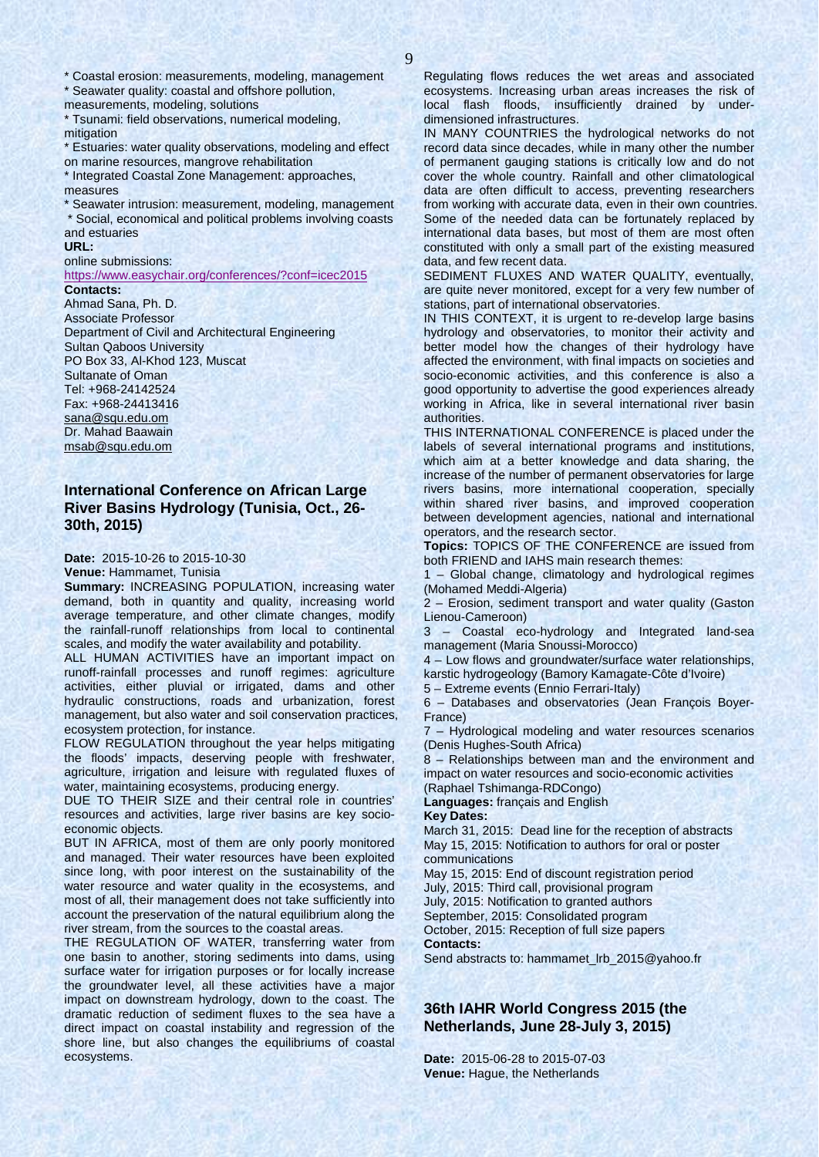\* Coastal erosion: measurements, modeling, management

\* Seawater quality: coastal and offshore pollution, measurements, modeling, solutions

\* Tsunami: field observations, numerical modeling, mitigation

\* Estuaries: water quality observations, modeling and effect on marine resources, mangrove rehabilitation

\* Integrated Coastal Zone Management: approaches, measures

\* Seawater intrusion: measurement, modeling, management \* Social, economical and political problems involving coasts and estuaries

#### **URL:**

#### online submissions:

<https://www.easychair.org/conferences/?conf=icec2015> **Contacts:** 

Ahmad Sana, Ph. D. Associate Professor Department of Civil and Architectural Engineering Sultan Qaboos University PO Box 33, Al-Khod 123, Muscat Sultanate of Oman Tel: +968-24142524 Fax: +968-24413416 [sana@squ.edu.om](mailto:sana@squ.edu.om) Dr. Mahad Baawain [msab@squ.edu.om](mailto:msab@squ.edu.om)

### **International Conference on African Large River Basins Hydrology (Tunisia, Oct., 26- 30th, 2015)**

**Date:** 2015-10-26 to 2015-10-30

**Venue:** Hammamet, Tunisia

**Summary:** INCREASING POPULATION, increasing water demand, both in quantity and quality, increasing world average temperature, and other climate changes, modify the rainfall-runoff relationships from local to continental scales, and modify the water availability and potability.

ALL HUMAN ACTIVITIES have an important impact on runoff-rainfall processes and runoff regimes: agriculture activities, either pluvial or irrigated, dams and other hydraulic constructions, roads and urbanization, forest management, but also water and soil conservation practices, ecosystem protection, for instance.

FLOW REGULATION throughout the year helps mitigating the floods' impacts, deserving people with freshwater, agriculture, irrigation and leisure with regulated fluxes of water, maintaining ecosystems, producing energy.

DUE TO THEIR SIZE and their central role in countries' resources and activities, large river basins are key socioeconomic objects.

BUT IN AFRICA, most of them are only poorly monitored and managed. Their water resources have been exploited since long, with poor interest on the sustainability of the water resource and water quality in the ecosystems, and most of all, their management does not take sufficiently into account the preservation of the natural equilibrium along the river stream, from the sources to the coastal areas.

THE REGULATION OF WATER, transferring water from one basin to another, storing sediments into dams, using surface water for irrigation purposes or for locally increase the groundwater level, all these activities have a major impact on downstream hydrology, down to the coast. The dramatic reduction of sediment fluxes to the sea have a direct impact on coastal instability and regression of the shore line, but also changes the equilibriums of coastal ecosystems.

Regulating flows reduces the wet areas and associated ecosystems. Increasing urban areas increases the risk of local flash floods, insufficiently drained by underdimensioned infrastructures.

IN MANY COUNTRIES the hydrological networks do not record data since decades, while in many other the number of permanent gauging stations is critically low and do not cover the whole country. Rainfall and other climatological data are often difficult to access, preventing researchers from working with accurate data, even in their own countries. Some of the needed data can be fortunately replaced by international data bases, but most of them are most often constituted with only a small part of the existing measured data, and few recent data.

SEDIMENT FLUXES AND WATER QUALITY, eventually, are quite never monitored, except for a very few number of stations, part of international observatories.

IN THIS CONTEXT, it is urgent to re-develop large basins hydrology and observatories, to monitor their activity and better model how the changes of their hydrology have affected the environment, with final impacts on societies and socio-economic activities, and this conference is also a good opportunity to advertise the good experiences already working in Africa, like in several international river basin authorities.

THIS INTERNATIONAL CONFERENCE is placed under the labels of several international programs and institutions, which aim at a better knowledge and data sharing, the increase of the number of permanent observatories for large rivers basins, more international cooperation, specially within shared river basins, and improved cooperation between development agencies, national and international operators, and the research sector.

**Topics:** TOPICS OF THE CONFERENCE are issued from both FRIEND and IAHS main research themes:

1 – Global change, climatology and hydrological regimes (Mohamed Meddi-Algeria)

2 – Erosion, sediment transport and water quality (Gaston Lienou-Cameroon)

3 – Coastal eco-hydrology and Integrated land-sea management (Maria Snoussi-Morocco)

4 – Low flows and groundwater/surface water relationships, karstic hydrogeology (Bamory Kamagate-Côte d'Ivoire)

5 – Extreme events (Ennio Ferrari-Italy)

6 – Databases and observatories (Jean François Boyer-France)

7 – Hydrological modeling and water resources scenarios (Denis Hughes-South Africa)

8 – Relationships between man and the environment and impact on water resources and socio-economic activities (Raphael Tshimanga-RDCongo)

**Languages:** français and English **Key Dates:**

March 31, 2015: Dead line for the reception of abstracts May 15, 2015: Notification to authors for oral or poster communications

May 15, 2015: End of discount registration period July, 2015: Third call, provisional program

July, 2015: Notification to granted authors

September, 2015: Consolidated program

October, 2015: Reception of full size papers **Contacts:** 

Send abstracts to: hammamet\_lrb\_2015@yahoo.fr

**36th IAHR World Congress 2015 (the Netherlands, June 28-July 3, 2015)**

**Date:** 2015-06-28 to 2015-07-03 **Venue:** Hague, the Netherlands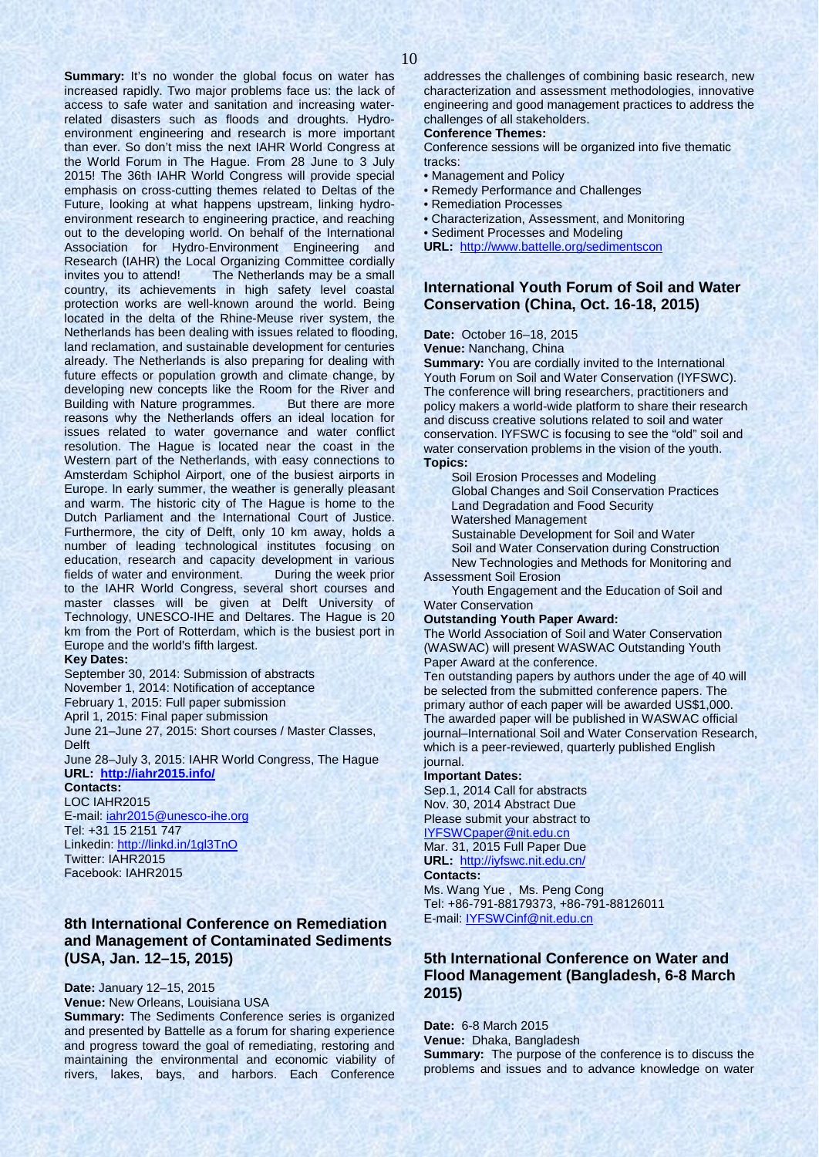**Summary:** It's no wonder the global focus on water has increased rapidly. Two major problems face us: the lack of access to safe water and sanitation and increasing waterrelated disasters such as floods and droughts. Hydroenvironment engineering and research is more important than ever. So don't miss the next IAHR World Congress at the World Forum in The Hague. From 28 June to 3 July 2015! The 36th IAHR World Congress will provide special emphasis on cross-cutting themes related to Deltas of the Future, looking at what happens upstream, linking hydroenvironment research to engineering practice, and reaching out to the developing world. On behalf of the International Association for Hydro-Environment Engineering and Research (IAHR) the Local Organizing Committee cordially invites you to attend! The Netherlands may be a small country, its achievements in high safety level coastal protection works are well-known around the world. Being located in the delta of the Rhine-Meuse river system, the Netherlands has been dealing with issues related to flooding, land reclamation, and sustainable development for centuries already. The Netherlands is also preparing for dealing with future effects or population growth and climate change, by developing new concepts like the Room for the River and Building with Nature programmes. But there are more reasons why the Netherlands offers an ideal location for issues related to water governance and water conflict resolution. The Hague is located near the coast in the Western part of the Netherlands, with easy connections to Amsterdam Schiphol Airport, one of the busiest airports in Europe. In early summer, the weather is generally pleasant and warm. The historic city of The Hague is home to the Dutch Parliament and the International Court of Justice. Furthermore, the city of Delft, only 10 km away, holds a number of leading technological institutes focusing on education, research and capacity development in various fields of water and environment. During the week prior to the IAHR World Congress, several short courses and master classes will be given at Delft University of Technology, UNESCO-IHE and Deltares. The Hague is 20 km from the Port of Rotterdam, which is the busiest port in Europe and the world's fifth largest.

#### **Key Dates:**

September 30, 2014: Submission of abstracts November 1, 2014: Notification of acceptance February 1, 2015: Full paper submission April 1, 2015: Final paper submission June 21–June 27, 2015: Short courses / Master Classes, Delft

June 28–July 3, 2015: IAHR World Congress, The Hague **URL: <http://iahr2015.info/>**

### **Contacts:**  LOC IAHR2015 E-mail: [iahr2015@unesco-ihe.org](mailto:iahr2015@unesco-ihe.org) Tel: +31 15 2151 747

Linkedin:<http://linkd.in/1gl3TnO> Twitter: IAHR2015 Facebook: IAHR2015

### **8th International Conference on Remediation and Management of Contaminated Sediments (USA, Jan. 12–15, 2015)**

**Date:** January 12–15, 2015 **Venue:** New Orleans, Louisiana USA

**Summary:** The Sediments Conference series is organized and presented by Battelle as a forum for sharing experience and progress toward the goal of remediating, restoring and maintaining the environmental and economic viability of rivers, lakes, bays, and harbors. Each Conference

#### **Conference Themes:**

Conference sessions will be organized into five thematic tracks:

- Management and Policy
- Remedy Performance and Challenges
- Remediation Processes
- Characterization, Assessment, and Monitoring
- Sediment Processes and Modeling
- **URL:** <http://www.battelle.org/sedimentscon>

### **International Youth Forum of Soil and Water Conservation (China, Oct. 16-18, 2015)**

**Date:** October 16–18, 2015

**Venue:** Nanchang, China

**Summary:** You are cordially invited to the International Youth Forum on Soil and Water Conservation (IYFSWC). The conference will bring researchers, practitioners and policy makers a world-wide platform to share their research and discuss creative solutions related to soil and water conservation. IYFSWC is focusing to see the "old" soil and water conservation problems in the vision of the youth. **Topics:**

Soil Erosion Processes and Modeling Global Changes and Soil Conservation Practices Land Degradation and Food Security

Watershed Management

Sustainable Development for Soil and Water

Soil and Water Conservation during Construction New Technologies and Methods for Monitoring and Assessment Soil Erosion

Youth Engagement and the Education of Soil and Water Conservation

**Outstanding Youth Paper Award:**

The World Association of Soil and Water Conservation (WASWAC) will present WASWAC Outstanding Youth Paper Award at the conference.

Ten outstanding papers by authors under the age of 40 will be selected from the submitted conference papers. The primary author of each paper will be awarded US\$1,000. The awarded paper will be published in WASWAC official journal–International Soil and Water Conservation Research, which is a peer-reviewed, quarterly published English journal.

#### **Important Dates:**

Sep.1, 2014 Call for abstracts Nov. 30, 2014 Abstract Due Please submit your abstract to [IYFSWCpaper@nit.edu.cn](mailto:IYFSWCpaper@nit.edu.cn)

Mar. 31, 2015 Full Paper Due

### **URL:** <http://iyfswc.nit.edu.cn/>

**Contacts:**  Ms. Wang Yue , Ms. Peng Cong Tel: +86-791-88179373, +86-791-88126011

### E-mail: [IYFSWCinf@nit.edu.cn](mailto:IYFSWCinf@nit.edu.cn)

### **5th International Conference on Water and Flood Management (Bangladesh, 6-8 March 2015)**

**Date:** 6-8 March 2015 **Venue:** Dhaka, Bangladesh **Summary:** The purpose of the conference is to discuss the problems and issues and to advance knowledge on water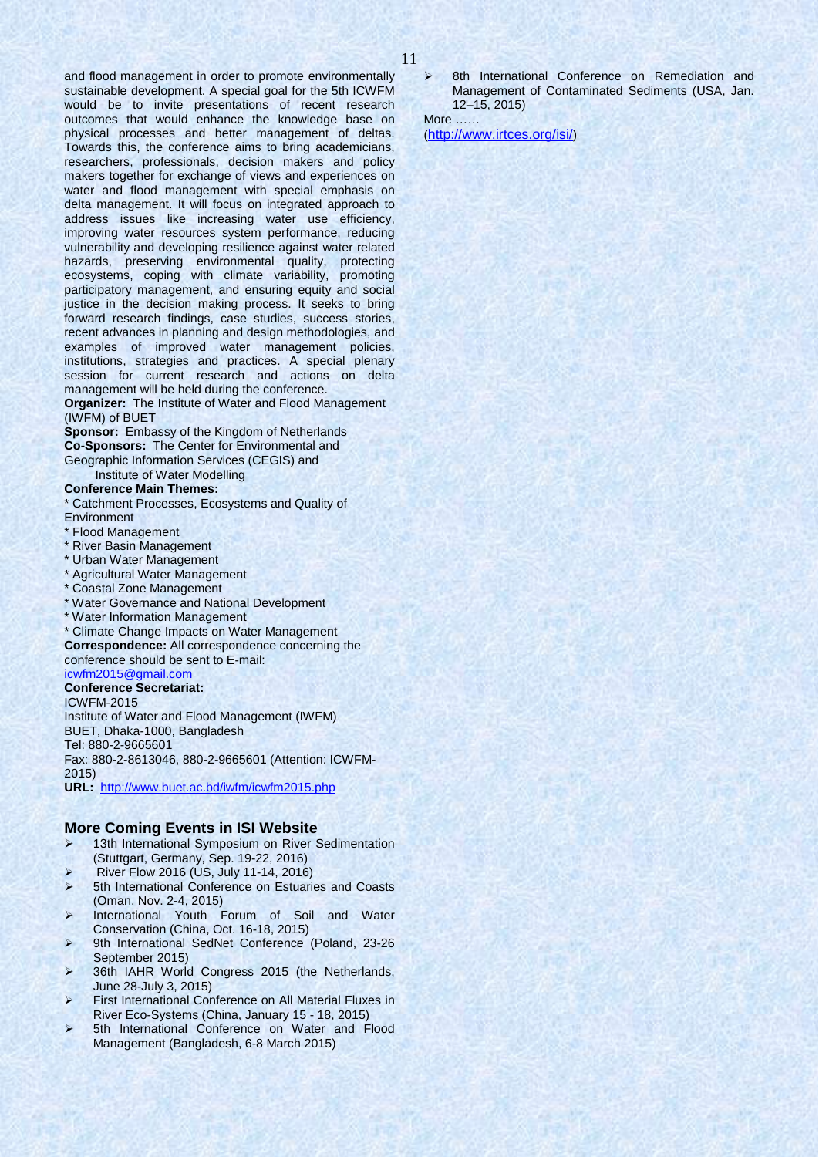and flood management in order to promote environmentally sustainable development. A special goal for the 5th ICWFM would be to invite presentations of recent research outcomes that would enhance the knowledge base on physical processes and better management of deltas. Towards this, the conference aims to bring academicians, researchers, professionals, decision makers and policy makers together for exchange of views and experiences on water and flood management with special emphasis on delta management. It will focus on integrated approach to address issues like increasing water use efficiency, improving water resources system performance, reducing vulnerability and developing resilience against water related hazards, preserving environmental quality, protecting ecosystems, coping with climate variability, promoting participatory management, and ensuring equity and social justice in the decision making process. It seeks to bring forward research findings, case studies, success stories, recent advances in planning and design methodologies, and examples of improved water management policies, institutions, strategies and practices. A special plenary session for current research and actions on delta management will be held during the conference.

**Organizer:** The Institute of Water and Flood Management (IWFM) of BUET

**Sponsor:** Embassy of the Kingdom of Netherlands **Co-Sponsors:** The Center for Environmental and Geographic Information Services (CEGIS) and

Institute of Water Modelling

### **Conference Main Themes:**

\* Catchment Processes, Ecosystems and Quality of **Environment** 

- **Flood Management**
- \* River Basin Management
- \* Urban Water Management
- \* Agricultural Water Management
- \* Coastal Zone Management
- \* Water Governance and National Development
- \* Water Information Management

\* Climate Change Impacts on Water Management **Correspondence:** All correspondence concerning the conference should be sent to E-mail: [icwfm2015@gmail.com](mailto:icwfm2015@gmail.com)

### **Conference Secretariat:**

ICWFM-2015

Institute of Water and Flood Management (IWFM) BUET, Dhaka-1000, Bangladesh Tel: 880-2-9665601 Fax: 880-2-8613046, 880-2-9665601 (Attention: ICWFM-

2015)

**URL:** <http://www.buet.ac.bd/iwfm/icwfm2015.php>

#### **More Coming Events in ISI Website**

- 13th International Symposium on River Sedimentation (Stuttgart, Germany, Sep. 19-22, 2016)
- River Flow 2016 (US, July 11-14, 2016)
- 5th International Conference on Estuaries and Coasts (Oman, Nov. 2-4, 2015)
- International Youth Forum of Soil and Water Conservation (China, Oct. 16-18, 2015)
- 9th International SedNet Conference (Poland, 23-26 September 2015)
- > 36th IAHR World Congress 2015 (the Netherlands, June 28-July 3, 2015)
- **First International Conference on All Material Fluxes in** River Eco-Systems (China, January 15 - 18, 2015)
- 5th International Conference on Water and Flood Management (Bangladesh, 6-8 March 2015)

 8th International Conference on Remediation and Management of Contaminated Sediments (USA, Jan. 12–15, 2015)

More **Little** 

[\(http://www.irtces.org/isi/\)](http://www.irtces.org/isi/)